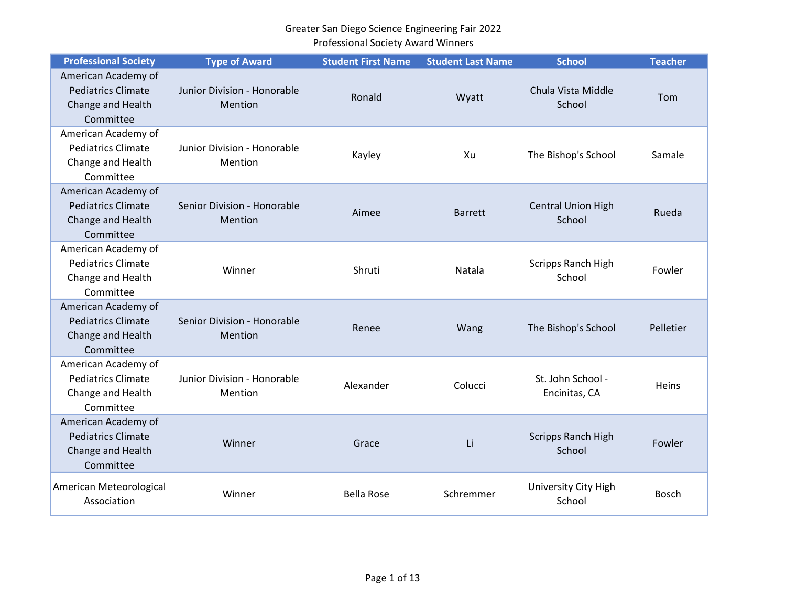| <b>Professional Society</b>                                                        | <b>Type of Award</b>                   | <b>Student First Name</b> | <b>Student Last Name</b> | <b>School</b>                       | <b>Teacher</b> |
|------------------------------------------------------------------------------------|----------------------------------------|---------------------------|--------------------------|-------------------------------------|----------------|
| American Academy of<br><b>Pediatrics Climate</b><br>Change and Health<br>Committee | Junior Division - Honorable<br>Mention | Ronald                    | Wyatt                    | Chula Vista Middle<br>School        | Tom            |
| American Academy of<br><b>Pediatrics Climate</b><br>Change and Health<br>Committee | Junior Division - Honorable<br>Mention | Kayley                    | Xu                       | The Bishop's School                 | Samale         |
| American Academy of<br><b>Pediatrics Climate</b><br>Change and Health<br>Committee | Senior Division - Honorable<br>Mention | Aimee                     | <b>Barrett</b>           | <b>Central Union High</b><br>School | Rueda          |
| American Academy of<br><b>Pediatrics Climate</b><br>Change and Health<br>Committee | Winner                                 | Shruti                    | Natala                   | Scripps Ranch High<br>School        | Fowler         |
| American Academy of<br><b>Pediatrics Climate</b><br>Change and Health<br>Committee | Senior Division - Honorable<br>Mention | Renee                     | Wang                     | The Bishop's School                 | Pelletier      |
| American Academy of<br><b>Pediatrics Climate</b><br>Change and Health<br>Committee | Junior Division - Honorable<br>Mention | Alexander                 | Colucci                  | St. John School -<br>Encinitas, CA  | Heins          |
| American Academy of<br><b>Pediatrics Climate</b><br>Change and Health<br>Committee | Winner                                 | Grace                     | Li                       | <b>Scripps Ranch High</b><br>School | Fowler         |
| American Meteorological<br>Association                                             | Winner                                 | <b>Bella Rose</b>         | Schremmer                | University City High<br>School      | <b>Bosch</b>   |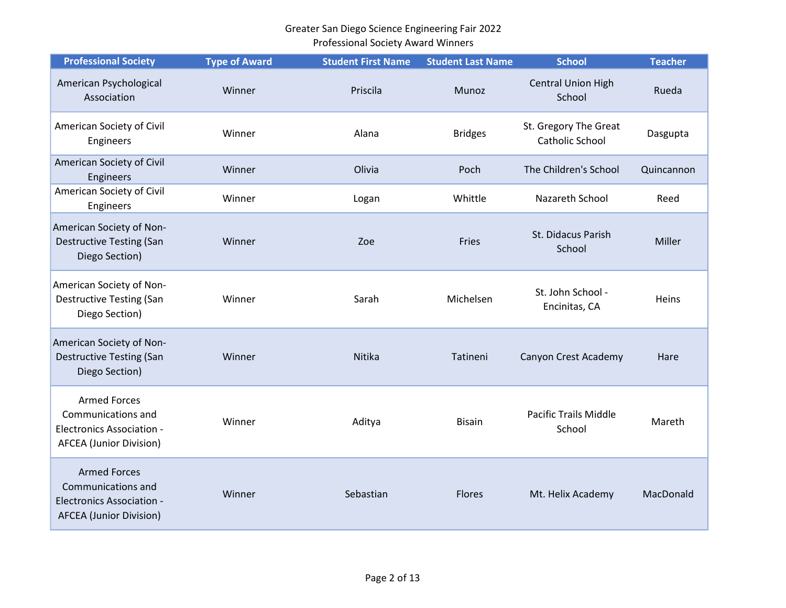| <b>Professional Society</b>                                                                                     | <b>Type of Award</b> | <b>Student First Name</b> | <b>Student Last Name</b> | <b>School</b>                                   | <b>Teacher</b> |
|-----------------------------------------------------------------------------------------------------------------|----------------------|---------------------------|--------------------------|-------------------------------------------------|----------------|
| American Psychological<br>Association                                                                           | Winner               | Priscila                  | Munoz                    | <b>Central Union High</b><br>School             | Rueda          |
| American Society of Civil<br>Engineers                                                                          | Winner               | Alana                     | <b>Bridges</b>           | St. Gregory The Great<br><b>Catholic School</b> | Dasgupta       |
| American Society of Civil<br>Engineers                                                                          | Winner               | Olivia                    | Poch                     | The Children's School                           | Quincannon     |
| American Society of Civil<br>Engineers                                                                          | Winner               | Logan                     | Whittle                  | Nazareth School                                 | Reed           |
| American Society of Non-<br><b>Destructive Testing (San</b><br>Diego Section)                                   | Winner               | Zoe                       | Fries                    | St. Didacus Parish<br>School                    | Miller         |
| American Society of Non-<br><b>Destructive Testing (San</b><br>Diego Section)                                   | Winner               | Sarah                     | Michelsen                | St. John School -<br>Encinitas, CA              | Heins          |
| American Society of Non-<br><b>Destructive Testing (San</b><br>Diego Section)                                   | Winner               | Nitika                    | Tatineni                 | Canyon Crest Academy                            | Hare           |
| <b>Armed Forces</b><br>Communications and<br><b>Electronics Association -</b><br><b>AFCEA (Junior Division)</b> | Winner               | Aditya                    | <b>Bisain</b>            | <b>Pacific Trails Middle</b><br>School          | Mareth         |
| <b>Armed Forces</b><br>Communications and<br><b>Electronics Association -</b><br><b>AFCEA (Junior Division)</b> | Winner               | Sebastian                 | <b>Flores</b>            | Mt. Helix Academy                               | MacDonald      |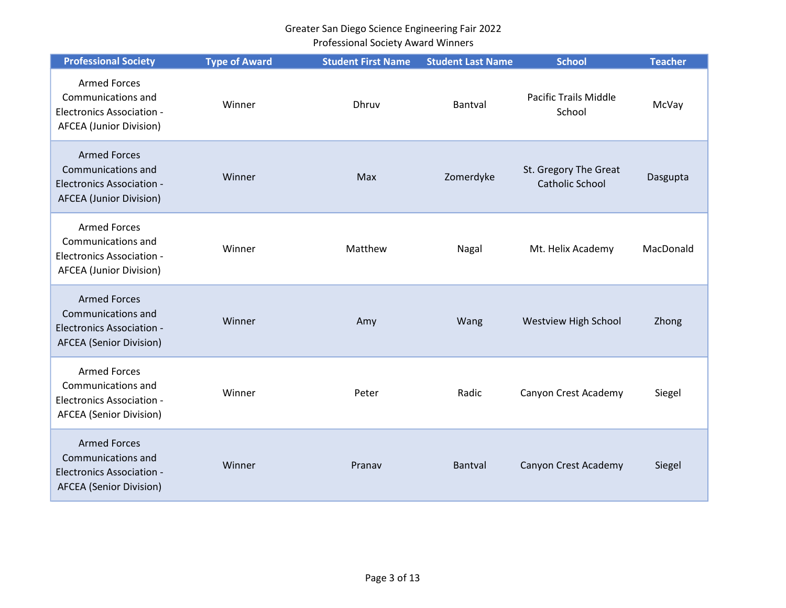| <b>Professional Society</b>                                                                                     | <b>Type of Award</b> | <b>Student First Name</b> | <b>Student Last Name</b> | <b>School</b>                                   | <b>Teacher</b> |
|-----------------------------------------------------------------------------------------------------------------|----------------------|---------------------------|--------------------------|-------------------------------------------------|----------------|
| <b>Armed Forces</b><br>Communications and<br><b>Electronics Association -</b><br><b>AFCEA (Junior Division)</b> | Winner               | <b>Dhruv</b>              | Bantval                  | <b>Pacific Trails Middle</b><br>School          | McVay          |
| <b>Armed Forces</b><br>Communications and<br><b>Electronics Association -</b><br><b>AFCEA</b> (Junior Division) | Winner               | Max                       | Zomerdyke                | St. Gregory The Great<br><b>Catholic School</b> | Dasgupta       |
| <b>Armed Forces</b><br>Communications and<br><b>Electronics Association -</b><br><b>AFCEA (Junior Division)</b> | Winner               | Matthew                   | Nagal                    | Mt. Helix Academy                               | MacDonald      |
| <b>Armed Forces</b><br>Communications and<br><b>Electronics Association -</b><br><b>AFCEA</b> (Senior Division) | Winner               | Amy                       | Wang                     | <b>Westview High School</b>                     | Zhong          |
| <b>Armed Forces</b><br>Communications and<br><b>Electronics Association -</b><br><b>AFCEA</b> (Senior Division) | Winner               | Peter                     | Radic                    | Canyon Crest Academy                            | Siegel         |
| <b>Armed Forces</b><br>Communications and<br><b>Electronics Association -</b><br><b>AFCEA</b> (Senior Division) | Winner               | Pranav                    | Bantval                  | Canyon Crest Academy                            | Siegel         |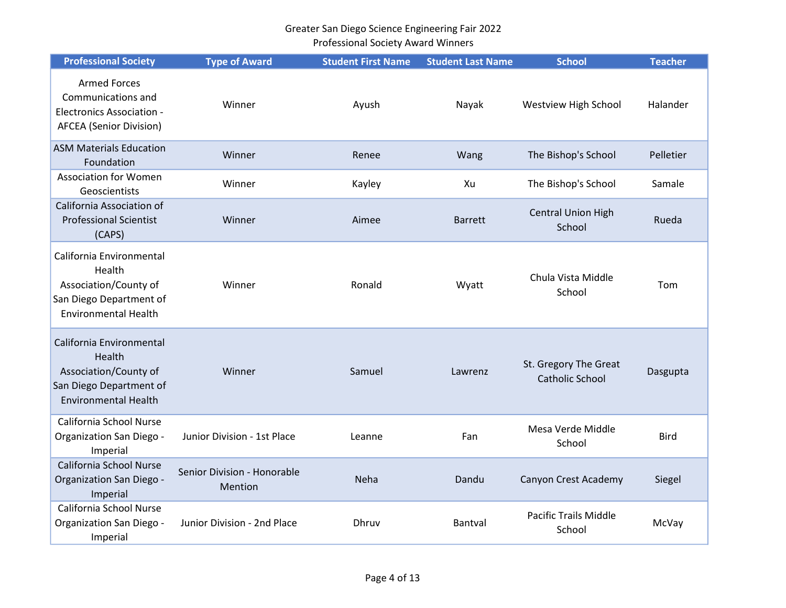| <b>Professional Society</b>                                                                                           | <b>Type of Award</b>                   | <b>Student First Name</b> | <b>Student Last Name</b> | <b>School</b>                                   | <b>Teacher</b> |
|-----------------------------------------------------------------------------------------------------------------------|----------------------------------------|---------------------------|--------------------------|-------------------------------------------------|----------------|
| <b>Armed Forces</b><br>Communications and<br><b>Electronics Association -</b><br><b>AFCEA</b> (Senior Division)       | Winner                                 | Ayush                     | Nayak                    | Westview High School                            | Halander       |
| <b>ASM Materials Education</b><br>Foundation                                                                          | Winner                                 | Renee                     | Wang                     | The Bishop's School                             | Pelletier      |
| <b>Association for Women</b><br>Geoscientists                                                                         | Winner                                 | Kayley                    | Xu                       | The Bishop's School                             | Samale         |
| California Association of<br><b>Professional Scientist</b><br>(CAPS)                                                  | Winner                                 | Aimee                     | <b>Barrett</b>           | <b>Central Union High</b><br>School             | Rueda          |
| California Environmental<br>Health<br>Association/County of<br>San Diego Department of<br><b>Environmental Health</b> | Winner                                 | Ronald                    | Wyatt                    | Chula Vista Middle<br>School                    | Tom            |
| California Environmental<br>Health<br>Association/County of<br>San Diego Department of<br><b>Environmental Health</b> | Winner                                 | Samuel                    | Lawrenz                  | St. Gregory The Great<br><b>Catholic School</b> | Dasgupta       |
| California School Nurse<br>Organization San Diego -<br>Imperial                                                       | Junior Division - 1st Place            | Leanne                    | Fan                      | Mesa Verde Middle<br>School                     | <b>Bird</b>    |
| California School Nurse<br>Organization San Diego -<br>Imperial                                                       | Senior Division - Honorable<br>Mention | Neha                      | Dandu                    | Canyon Crest Academy                            | Siegel         |
| California School Nurse<br>Organization San Diego -<br>Imperial                                                       | Junior Division - 2nd Place            | Dhruv                     | Bantval                  | <b>Pacific Trails Middle</b><br>School          | McVay          |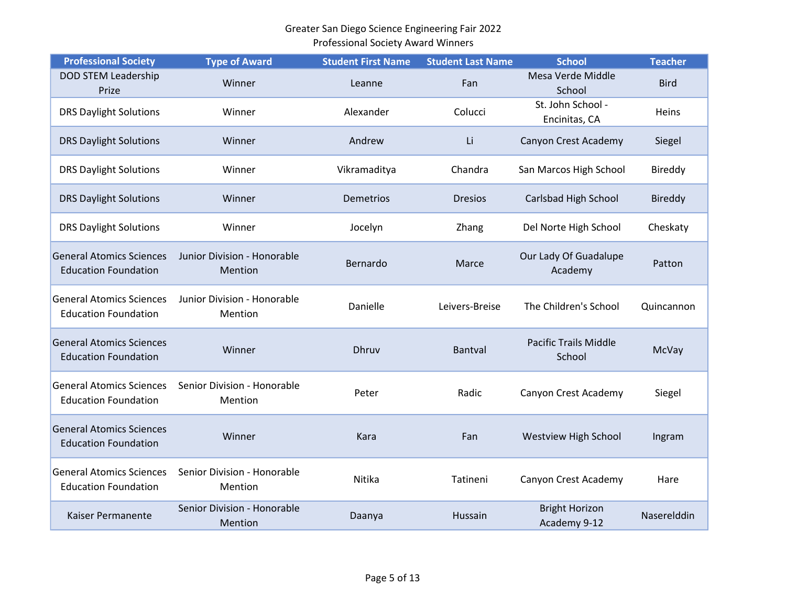| <b>Professional Society</b>                                    | <b>Type of Award</b>                   | <b>Student First Name</b> | <b>Student Last Name</b> | <b>School</b>                          | <b>Teacher</b> |
|----------------------------------------------------------------|----------------------------------------|---------------------------|--------------------------|----------------------------------------|----------------|
| <b>DOD STEM Leadership</b><br>Prize                            | Winner                                 | Leanne                    | Fan                      | Mesa Verde Middle<br>School            | <b>Bird</b>    |
| <b>DRS Daylight Solutions</b>                                  | Winner                                 | Alexander                 | Colucci                  | St. John School -<br>Encinitas, CA     | Heins          |
| <b>DRS Daylight Solutions</b>                                  | Winner                                 | Andrew                    | Li                       | Canyon Crest Academy                   | Siegel         |
| <b>DRS Daylight Solutions</b>                                  | Winner                                 | Vikramaditya              | Chandra                  | San Marcos High School                 | Bireddy        |
| <b>DRS Daylight Solutions</b>                                  | Winner                                 | <b>Demetrios</b>          | <b>Dresios</b>           | Carlsbad High School                   | <b>Bireddy</b> |
| <b>DRS Daylight Solutions</b>                                  | Winner                                 | Jocelyn                   | Zhang                    | Del Norte High School                  | Cheskaty       |
| <b>General Atomics Sciences</b><br><b>Education Foundation</b> | Junior Division - Honorable<br>Mention | Bernardo                  | Marce                    | Our Lady Of Guadalupe<br>Academy       | Patton         |
| <b>General Atomics Sciences</b><br><b>Education Foundation</b> | Junior Division - Honorable<br>Mention | Danielle                  | Leivers-Breise           | The Children's School                  | Quincannon     |
| <b>General Atomics Sciences</b><br><b>Education Foundation</b> | Winner                                 | Dhruv                     | Bantval                  | <b>Pacific Trails Middle</b><br>School | McVay          |
| <b>General Atomics Sciences</b><br><b>Education Foundation</b> | Senior Division - Honorable<br>Mention | Peter                     | Radic                    | Canyon Crest Academy                   | Siegel         |
| <b>General Atomics Sciences</b><br><b>Education Foundation</b> | Winner                                 | Kara                      | Fan                      | <b>Westview High School</b>            | Ingram         |
| <b>General Atomics Sciences</b><br><b>Education Foundation</b> | Senior Division - Honorable<br>Mention | Nitika                    | Tatineni                 | Canyon Crest Academy                   | Hare           |
| Kaiser Permanente                                              | Senior Division - Honorable<br>Mention | Daanya                    | Hussain                  | <b>Bright Horizon</b><br>Academy 9-12  | Naserelddin    |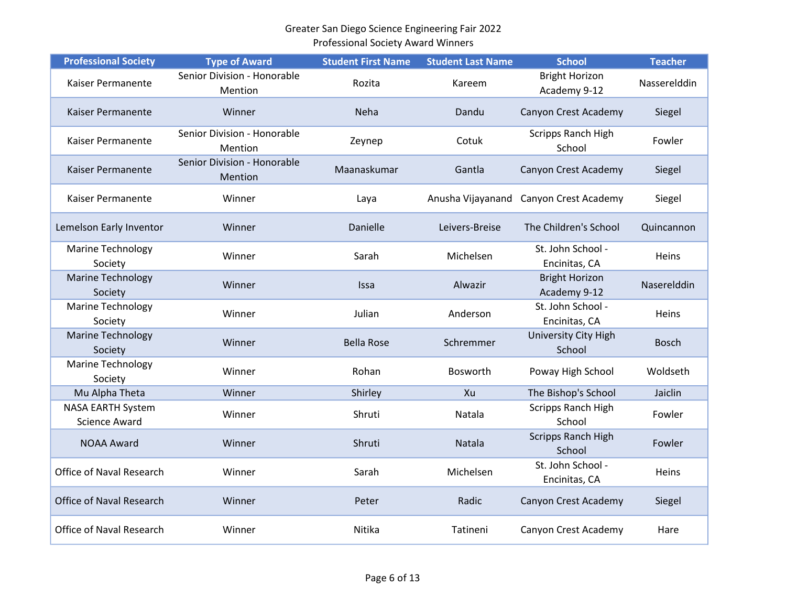| <b>Professional Society</b>                      | <b>Type of Award</b>                   | <b>Student First Name</b> | <b>Student Last Name</b> | <b>School</b>                         | <b>Teacher</b> |
|--------------------------------------------------|----------------------------------------|---------------------------|--------------------------|---------------------------------------|----------------|
| Kaiser Permanente                                | Senior Division - Honorable<br>Mention | Rozita                    | Kareem                   | <b>Bright Horizon</b><br>Academy 9-12 | Nasserelddin   |
| Kaiser Permanente                                | Winner                                 | <b>Neha</b>               | Dandu                    | Canyon Crest Academy                  | Siegel         |
| Kaiser Permanente                                | Senior Division - Honorable<br>Mention | Zeynep                    | Cotuk                    | Scripps Ranch High<br>School          | Fowler         |
| Kaiser Permanente                                | Senior Division - Honorable<br>Mention | Maanaskumar               | Gantla                   | Canyon Crest Academy                  | Siegel         |
| Kaiser Permanente                                | Winner                                 | Laya                      | Anusha Vijayanand        | Canyon Crest Academy                  | Siegel         |
| Lemelson Early Inventor                          | Winner                                 | Danielle                  | Leivers-Breise           | The Children's School                 | Quincannon     |
| <b>Marine Technology</b><br>Society              | Winner                                 | Sarah                     | Michelsen                | St. John School -<br>Encinitas, CA    | Heins          |
| <b>Marine Technology</b><br>Society              | Winner                                 | Issa                      | Alwazir                  | <b>Bright Horizon</b><br>Academy 9-12 | Naserelddin    |
| <b>Marine Technology</b><br>Society              | Winner                                 | Julian                    | Anderson                 | St. John School -<br>Encinitas, CA    | Heins          |
| <b>Marine Technology</b><br>Society              | Winner                                 | <b>Bella Rose</b>         | Schremmer                | University City High<br>School        | <b>Bosch</b>   |
| <b>Marine Technology</b><br>Society              | Winner                                 | Rohan                     | Bosworth                 | Poway High School                     | Woldseth       |
| Mu Alpha Theta                                   | Winner                                 | Shirley                   | Xu                       | The Bishop's School                   | Jaiclin        |
| <b>NASA EARTH System</b><br><b>Science Award</b> | Winner                                 | Shruti                    | Natala                   | Scripps Ranch High<br>School          | Fowler         |
| <b>NOAA Award</b>                                | Winner                                 | Shruti                    | Natala                   | Scripps Ranch High<br>School          | Fowler         |
| Office of Naval Research                         | Winner                                 | Sarah                     | Michelsen                | St. John School -<br>Encinitas, CA    | Heins          |
| Office of Naval Research                         | Winner                                 | Peter                     | Radic                    | Canyon Crest Academy                  | Siegel         |
| Office of Naval Research                         | Winner                                 | Nitika                    | Tatineni                 | Canyon Crest Academy                  | Hare           |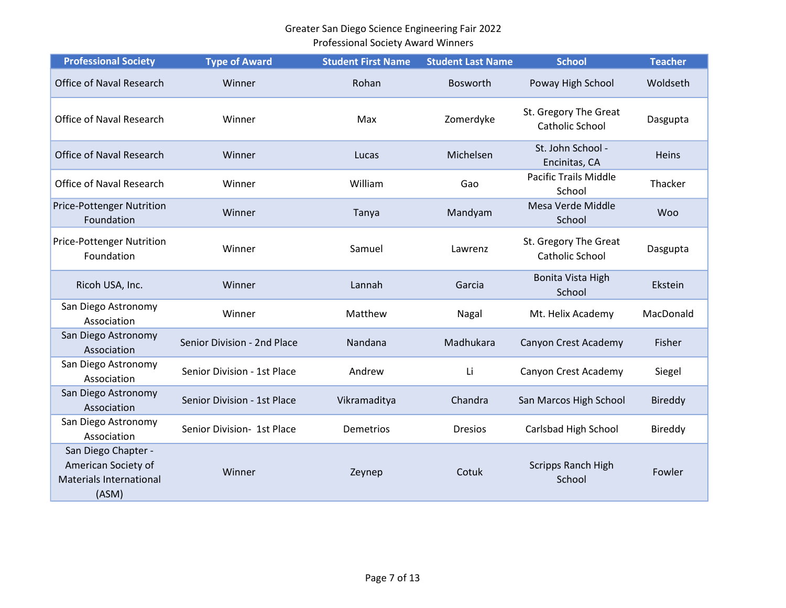| <b>Professional Society</b>                                                           | <b>Type of Award</b>        | <b>Student First Name</b> | <b>Student Last Name</b> | <b>School</b>                            | <b>Teacher</b> |
|---------------------------------------------------------------------------------------|-----------------------------|---------------------------|--------------------------|------------------------------------------|----------------|
| <b>Office of Naval Research</b>                                                       | Winner                      | Rohan                     | Bosworth                 | Poway High School                        | Woldseth       |
| Office of Naval Research                                                              | Winner                      | Max                       | Zomerdyke                | St. Gregory The Great<br>Catholic School | Dasgupta       |
| <b>Office of Naval Research</b>                                                       | Winner                      | Lucas                     | Michelsen                | St. John School -<br>Encinitas, CA       | Heins          |
| Office of Naval Research                                                              | Winner                      | William                   | Gao                      | Pacific Trails Middle<br>School          | Thacker        |
| <b>Price-Pottenger Nutrition</b><br>Foundation                                        | Winner                      | Tanya                     | Mandyam                  | Mesa Verde Middle<br>School              | <b>Woo</b>     |
| <b>Price-Pottenger Nutrition</b><br>Foundation                                        | Winner                      | Samuel                    | Lawrenz                  | St. Gregory The Great<br>Catholic School | Dasgupta       |
| Ricoh USA, Inc.                                                                       | Winner                      | Lannah                    | Garcia                   | Bonita Vista High<br>School              | Ekstein        |
| San Diego Astronomy<br>Association                                                    | Winner                      | Matthew                   | Nagal                    | Mt. Helix Academy                        | MacDonald      |
| San Diego Astronomy<br>Association                                                    | Senior Division - 2nd Place | Nandana                   | Madhukara                | Canyon Crest Academy                     | Fisher         |
| San Diego Astronomy<br>Association                                                    | Senior Division - 1st Place | Andrew                    | Li                       | Canyon Crest Academy                     | Siegel         |
| San Diego Astronomy<br>Association                                                    | Senior Division - 1st Place | Vikramaditya              | Chandra                  | San Marcos High School                   | <b>Bireddy</b> |
| San Diego Astronomy<br>Association                                                    | Senior Division- 1st Place  | Demetrios                 | <b>Dresios</b>           | Carlsbad High School                     | Bireddy        |
| San Diego Chapter -<br>American Society of<br><b>Materials International</b><br>(ASM) | Winner                      | Zeynep                    | Cotuk                    | Scripps Ranch High<br>School             | Fowler         |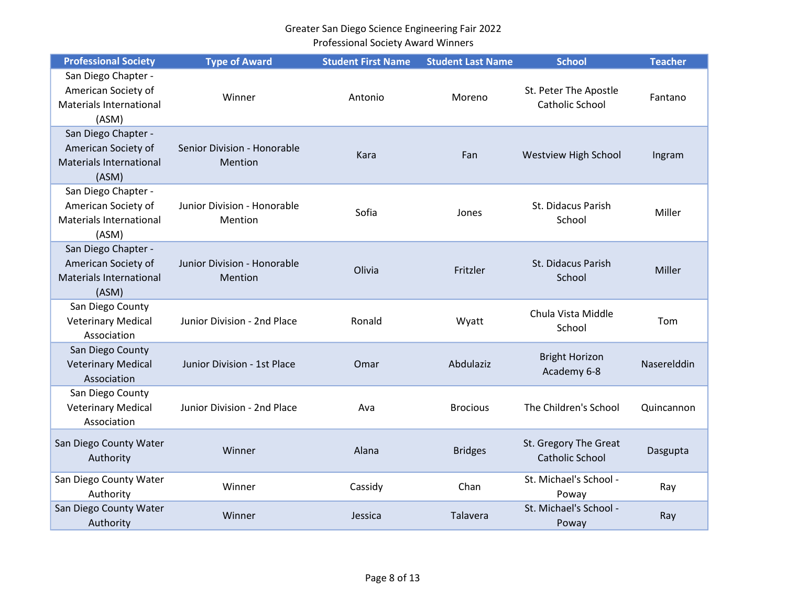| <b>Professional Society</b>                                                           | <b>Type of Award</b>                   | <b>Student First Name</b> | <b>Student Last Name</b> | <b>School</b>                                   | <b>Teacher</b> |
|---------------------------------------------------------------------------------------|----------------------------------------|---------------------------|--------------------------|-------------------------------------------------|----------------|
| San Diego Chapter -<br>American Society of<br><b>Materials International</b><br>(ASM) | Winner                                 | Antonio                   | Moreno                   | St. Peter The Apostle<br><b>Catholic School</b> | Fantano        |
| San Diego Chapter -<br>American Society of<br><b>Materials International</b><br>(ASM) | Senior Division - Honorable<br>Mention | Kara                      | Fan                      | Westview High School                            | Ingram         |
| San Diego Chapter -<br>American Society of<br><b>Materials International</b><br>(ASM) | Junior Division - Honorable<br>Mention | Sofia                     | Jones                    | St. Didacus Parish<br>School                    | Miller         |
| San Diego Chapter -<br>American Society of<br>Materials International<br>(ASM)        | Junior Division - Honorable<br>Mention | Olivia                    | Fritzler                 | St. Didacus Parish<br>School                    | Miller         |
| San Diego County<br><b>Veterinary Medical</b><br>Association                          | Junior Division - 2nd Place            | Ronald                    | Wyatt                    | Chula Vista Middle<br>School                    | Tom            |
| San Diego County<br><b>Veterinary Medical</b><br>Association                          | Junior Division - 1st Place            | Omar                      | Abdulaziz                | <b>Bright Horizon</b><br>Academy 6-8            | Naserelddin    |
| San Diego County<br><b>Veterinary Medical</b><br>Association                          | Junior Division - 2nd Place            | Ava                       | <b>Brocious</b>          | The Children's School                           | Quincannon     |
| San Diego County Water<br>Authority                                                   | Winner                                 | Alana                     | <b>Bridges</b>           | St. Gregory The Great<br><b>Catholic School</b> | Dasgupta       |
| San Diego County Water<br>Authority                                                   | Winner                                 | Cassidy                   | Chan                     | St. Michael's School -<br>Poway                 | Ray            |
| San Diego County Water<br>Authority                                                   | Winner                                 | Jessica                   | Talavera                 | St. Michael's School -<br>Poway                 | Ray            |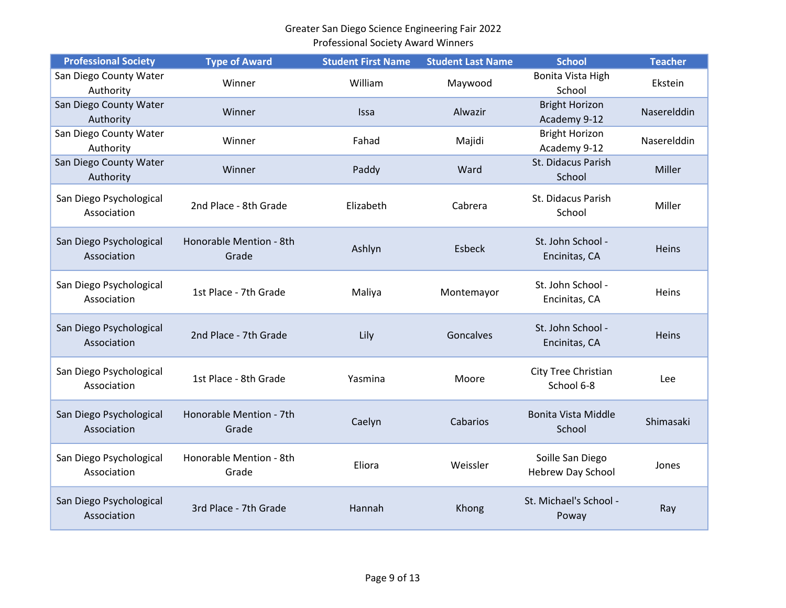|                             |                      | Professional Society Award Winners |                          |                       |                |
|-----------------------------|----------------------|------------------------------------|--------------------------|-----------------------|----------------|
| <b>Professional Society</b> | <b>Type of Award</b> | <b>Student First Name</b>          | <b>Student Last Name</b> | <b>School</b>         | Teacher        |
| an Diego County Water       |                      |                                    |                          | Bonita Vista High     | <b>Ekstein</b> |
| Authority                   | Winner               | William                            | Mavwood                  | School                |                |
| an Diago County Water.      |                      |                                    |                          | <b>Rright Horizon</b> |                |

| San Diego County Water<br>Authority    | Winner                           | William     | Maywood    | Bonita Vista High<br>School           | Ekstein     |
|----------------------------------------|----------------------------------|-------------|------------|---------------------------------------|-------------|
| San Diego County Water<br>Authority    | Winner                           | <b>Issa</b> | Alwazir    | <b>Bright Horizon</b><br>Academy 9-12 | Naserelddin |
| San Diego County Water<br>Authority    | Winner                           | Fahad       | Majidi     | <b>Bright Horizon</b><br>Academy 9-12 | Naserelddin |
| San Diego County Water<br>Authority    | Winner                           | Paddy       | Ward       | St. Didacus Parish<br>School          | Miller      |
| San Diego Psychological<br>Association | 2nd Place - 8th Grade            | Elizabeth   | Cabrera    | St. Didacus Parish<br>School          | Miller      |
| San Diego Psychological<br>Association | Honorable Mention - 8th<br>Grade | Ashlyn      | Esbeck     | St. John School -<br>Encinitas, CA    | Heins       |
| San Diego Psychological<br>Association | 1st Place - 7th Grade            | Maliya      | Montemayor | St. John School -<br>Encinitas, CA    | Heins       |
| San Diego Psychological<br>Association | 2nd Place - 7th Grade            | Lily        | Goncalves  | St. John School -<br>Encinitas, CA    | Heins       |
| San Diego Psychological<br>Association | 1st Place - 8th Grade            | Yasmina     | Moore      | City Tree Christian<br>School 6-8     | Lee         |
| San Diego Psychological<br>Association | Honorable Mention - 7th<br>Grade | Caelyn      | Cabarios   | <b>Bonita Vista Middle</b><br>School  | Shimasaki   |
| San Diego Psychological<br>Association | Honorable Mention - 8th<br>Grade | Eliora      | Weissler   | Soille San Diego<br>Hebrew Day School | Jones       |
| San Diego Psychological<br>Association | 3rd Place - 7th Grade            | Hannah      | Khong      | St. Michael's School -<br>Poway       | Ray         |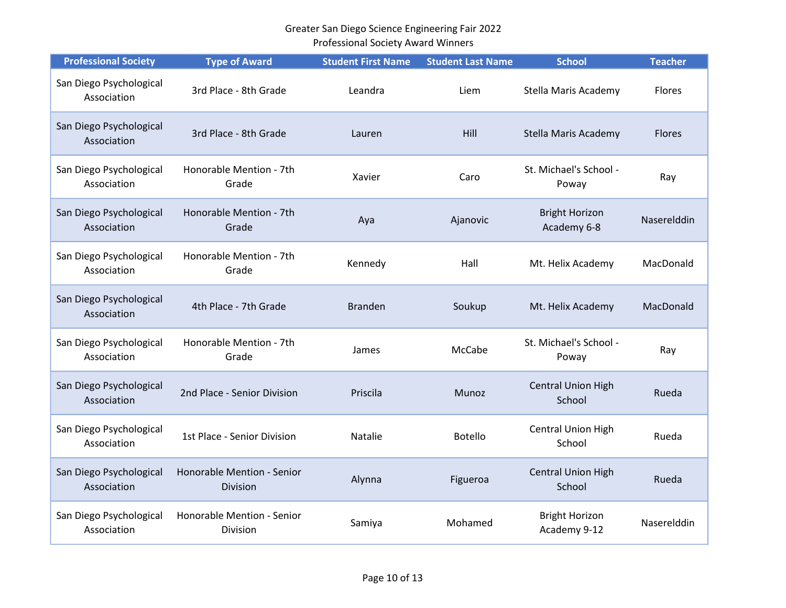| <b>Professional Society</b>            | <b>Type of Award</b>                          | <b>Student First Name</b> | <b>Student Last Name</b> | <b>School</b>                         | <b>Teacher</b> |
|----------------------------------------|-----------------------------------------------|---------------------------|--------------------------|---------------------------------------|----------------|
| San Diego Psychological<br>Association | 3rd Place - 8th Grade                         | Leandra                   | Liem                     | Stella Maris Academy                  | Flores         |
| San Diego Psychological<br>Association | 3rd Place - 8th Grade                         | Lauren                    | Hill                     | Stella Maris Academy                  | <b>Flores</b>  |
| San Diego Psychological<br>Association | Honorable Mention - 7th<br>Grade              | Xavier                    | Caro                     | St. Michael's School -<br>Poway       | Ray            |
| San Diego Psychological<br>Association | Honorable Mention - 7th<br>Grade              | Aya                       | Ajanovic                 | <b>Bright Horizon</b><br>Academy 6-8  | Naserelddin    |
| San Diego Psychological<br>Association | Honorable Mention - 7th<br>Grade              | Kennedy                   | Hall                     | Mt. Helix Academy                     | MacDonald      |
| San Diego Psychological<br>Association | 4th Place - 7th Grade                         | <b>Branden</b>            | Soukup                   | Mt. Helix Academy                     | MacDonald      |
| San Diego Psychological<br>Association | Honorable Mention - 7th<br>Grade              | James                     | McCabe                   | St. Michael's School -<br>Poway       | Ray            |
| San Diego Psychological<br>Association | 2nd Place - Senior Division                   | Priscila                  | Munoz                    | <b>Central Union High</b><br>School   | Rueda          |
| San Diego Psychological<br>Association | 1st Place - Senior Division                   | <b>Natalie</b>            | <b>Botello</b>           | Central Union High<br>School          | Rueda          |
| San Diego Psychological<br>Association | Honorable Mention - Senior<br>Division        | Alynna                    | Figueroa                 | <b>Central Union High</b><br>School   | Rueda          |
| San Diego Psychological<br>Association | Honorable Mention - Senior<br><b>Division</b> | Samiya                    | Mohamed                  | <b>Bright Horizon</b><br>Academy 9-12 | Naserelddin    |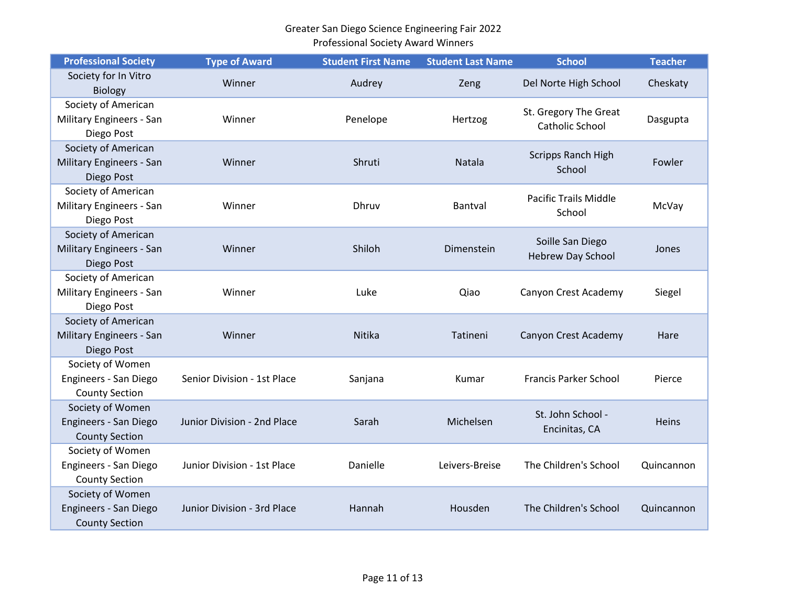| <b>Professional Society</b>                                        | <b>Type of Award</b>        | <b>Student First Name</b> | <b>Student Last Name</b> | <b>School</b>                                   | <b>Teacher</b> |
|--------------------------------------------------------------------|-----------------------------|---------------------------|--------------------------|-------------------------------------------------|----------------|
| Society for In Vitro<br><b>Biology</b>                             | Winner                      | Audrey                    | Zeng                     | Del Norte High School                           | Cheskaty       |
| Society of American<br>Military Engineers - San<br>Diego Post      | Winner                      | Penelope                  | Hertzog                  | St. Gregory The Great<br><b>Catholic School</b> | Dasgupta       |
| Society of American<br>Military Engineers - San<br>Diego Post      | Winner                      | Shruti                    | <b>Natala</b>            | <b>Scripps Ranch High</b><br>School             | Fowler         |
| Society of American<br>Military Engineers - San<br>Diego Post      | Winner                      | Dhruv                     | Bantval                  | <b>Pacific Trails Middle</b><br>School          | McVay          |
| Society of American<br>Military Engineers - San<br>Diego Post      | Winner                      | Shiloh                    | Dimenstein               | Soille San Diego<br><b>Hebrew Day School</b>    | Jones          |
| Society of American<br>Military Engineers - San<br>Diego Post      | Winner                      | Luke                      | Qiao                     | Canyon Crest Academy                            | Siegel         |
| Society of American<br>Military Engineers - San<br>Diego Post      | Winner                      | Nitika                    | Tatineni                 | Canyon Crest Academy                            | Hare           |
| Society of Women<br>Engineers - San Diego<br><b>County Section</b> | Senior Division - 1st Place | Sanjana                   | Kumar                    | <b>Francis Parker School</b>                    | Pierce         |
| Society of Women<br>Engineers - San Diego<br><b>County Section</b> | Junior Division - 2nd Place | Sarah                     | Michelsen                | St. John School -<br>Encinitas, CA              | <b>Heins</b>   |
| Society of Women<br>Engineers - San Diego<br><b>County Section</b> | Junior Division - 1st Place | Danielle                  | Leivers-Breise           | The Children's School                           | Quincannon     |
| Society of Women<br>Engineers - San Diego<br><b>County Section</b> | Junior Division - 3rd Place | Hannah                    | Housden                  | The Children's School                           | Quincannon     |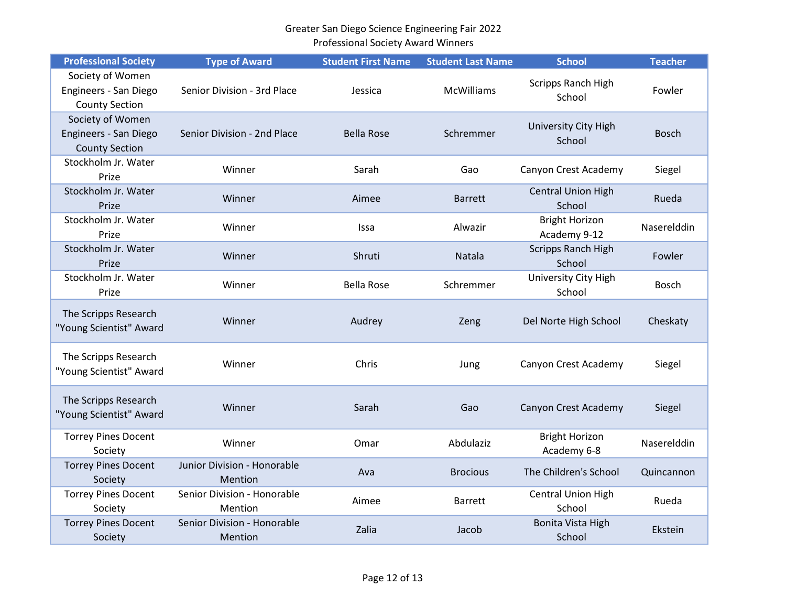| <b>Professional Society</b>                                        | <b>Type of Award</b>                   | <b>Student First Name</b> | <b>Student Last Name</b> | <b>School</b>                         | <b>Teacher</b> |
|--------------------------------------------------------------------|----------------------------------------|---------------------------|--------------------------|---------------------------------------|----------------|
| Society of Women<br>Engineers - San Diego<br><b>County Section</b> | Senior Division - 3rd Place            | Jessica                   | <b>McWilliams</b>        | Scripps Ranch High<br>School          | Fowler         |
| Society of Women<br>Engineers - San Diego<br><b>County Section</b> | Senior Division - 2nd Place            | <b>Bella Rose</b>         | Schremmer                | University City High<br>School        | <b>Bosch</b>   |
| Stockholm Jr. Water<br>Prize                                       | Winner                                 | Sarah                     | Gao                      | Canyon Crest Academy                  | Siegel         |
| Stockholm Jr. Water<br>Prize                                       | Winner                                 | Aimee                     | <b>Barrett</b>           | <b>Central Union High</b><br>School   | Rueda          |
| Stockholm Jr. Water<br>Prize                                       | Winner                                 | Issa                      | Alwazir                  | <b>Bright Horizon</b><br>Academy 9-12 | Naserelddin    |
| Stockholm Jr. Water<br>Prize                                       | Winner                                 | Shruti                    | Natala                   | <b>Scripps Ranch High</b><br>School   | Fowler         |
| Stockholm Jr. Water<br>Prize                                       | Winner                                 | <b>Bella Rose</b>         | Schremmer                | University City High<br>School        | Bosch          |
| The Scripps Research<br>"Young Scientist" Award                    | Winner                                 | Audrey                    | Zeng                     | Del Norte High School                 | Cheskaty       |
| The Scripps Research<br>"Young Scientist" Award                    | Winner                                 | Chris                     | Jung                     | Canyon Crest Academy                  | Siegel         |
| The Scripps Research<br>"Young Scientist" Award                    | Winner                                 | Sarah                     | Gao                      | Canyon Crest Academy                  | Siegel         |
| <b>Torrey Pines Docent</b><br>Society                              | Winner                                 | Omar                      | Abdulaziz                | <b>Bright Horizon</b><br>Academy 6-8  | Naserelddin    |
| <b>Torrey Pines Docent</b><br>Society                              | Junior Division - Honorable<br>Mention | Ava                       | <b>Brocious</b>          | The Children's School                 | Quincannon     |
| <b>Torrey Pines Docent</b><br>Society                              | Senior Division - Honorable<br>Mention | Aimee                     | <b>Barrett</b>           | <b>Central Union High</b><br>School   | Rueda          |
| <b>Torrey Pines Docent</b><br>Society                              | Senior Division - Honorable<br>Mention | Zalia                     | Jacob                    | <b>Bonita Vista High</b><br>School    | Ekstein        |